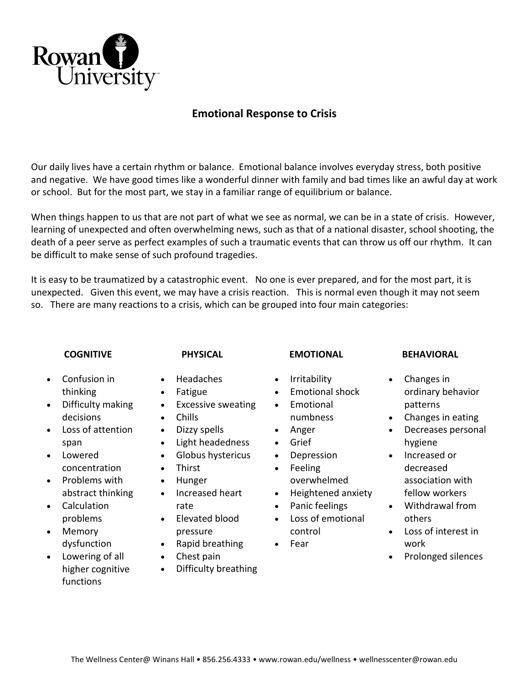

## **Emotional Response to Crisis**

Our daily lives have a certain rhythm or balance. Emotional balance involves everyday stress, both positive and negative. We have good times like a wonderful dinner with family and bad times like an awful day at work or school. But for the most part, we stay in a familiar range of equilibrium or balance.

When things happen to us that are not part of what we see as normal, we can be in a state of crisis. However, learning of unexpected and often overwhelming news, such as that of a national disaster, school shooting, the death of a peer serve as perfect examples of such a traumatic events that can throw us off our rhythm. It can be difficult to make sense of such profound tragedies.

It is easy to be traumatized by a catastrophic event. No one is ever prepared, and for the most part, it is unexpected. Given this event, we may have a crisis reaction. This is normal even though it may not seem so. There are many reactions to a crisis, which can be grouped into four main categories:

## **COGNITIVE**

## **PHYSICAL**

• Excessive sweating

 Light headedness Globus hystericus

• Headaches Fatigue

• Dizzy spells

• Chills

• Thirst • Hunger

rate

## **EMOTIONAL**

- Irritability
- Emotional shock
- Emotional numbness
- Anger
- Grief
- Depression
- Feeling
- overwhelmed • Heightened anxiety
- Panic feelings
- Loss of emotional
- Fear
- Chest pain

• Increased heart

 Elevated blood pressure

Difficulty breathing

## • Rapid breathing

# control

## **BEHAVIORAL**

- Changes in ordinary behavior patterns
- Changes in eating
- Decreases personal hygiene
- Increased or decreased association with fellow workers
- Withdrawal from others
- Loss of interest in work
- Prolonged silences
- Confusion in thinking
- Difficulty making decisions
- Loss of attention span
- Lowered concentration
- Problems with abstract thinking
- Calculation problems
- Memory dysfunction
- Lowering of all higher cognitive functions